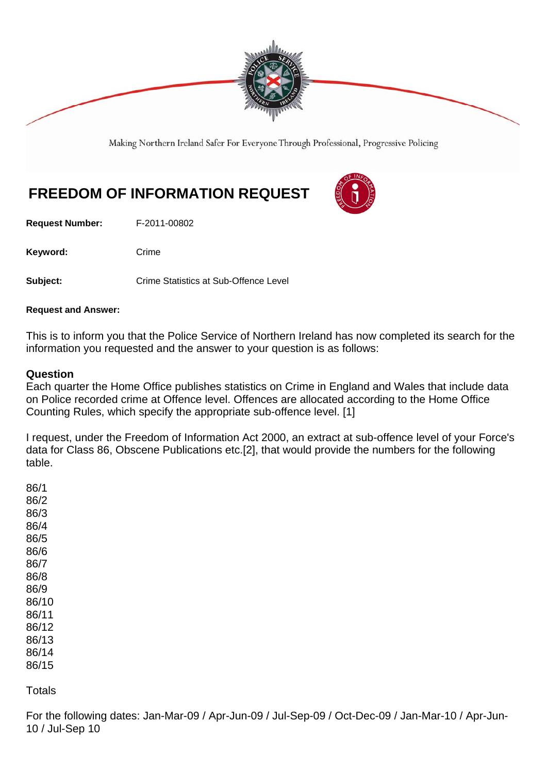

Making Northern Ireland Safer For Everyone Through Professional, Progressive Policing

# **FREEDOM OF INFORMATION REQUEST**

**Request Number:** F-2011-00802

Keyword: Crime

**Subject: Crime Statistics at Sub-Offence Level** 

**Request and Answer:** 

This is to inform you that the Police Service of Northern Ireland has now completed its search for the information you requested and the answer to your question is as follows:

#### **Question**

Each quarter the Home Office publishes statistics on Crime in England and Wales that include data on Police recorded crime at Offence level. Offences are allocated according to the Home Office Counting Rules, which specify the appropriate sub-offence level. [1]

I request, under the Freedom of Information Act 2000, an extract at sub-offence level of your Force's data for Class 86, Obscene Publications etc.[2], that would provide the numbers for the following table.

| 86/1  |
|-------|
| 86/2  |
| 86/3  |
| 86/4  |
| 86/5  |
| 86/6  |
| 86/7  |
| 86/8  |
| 86/9  |
| 86/10 |
| 86/11 |
| 86/12 |
| 86/13 |
| 86/14 |
| 86/15 |
|       |

**Totals** 

For the following dates: Jan-Mar-09 / Apr-Jun-09 / Jul-Sep-09 / Oct-Dec-09 / Jan-Mar-10 / Apr-Jun-10 / Jul-Sep 10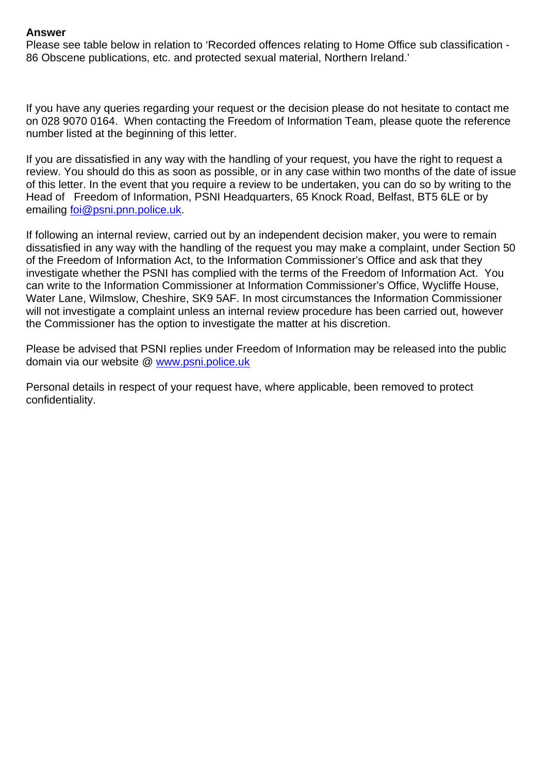#### **Answer**

Please see table below in relation to 'Recorded offences relating to Home Office sub classification - 86 Obscene publications, etc. and protected sexual material, Northern Ireland.'

If you have any queries regarding your request or the decision please do not hesitate to contact me on 028 9070 0164. When contacting the Freedom of Information Team, please quote the reference number listed at the beginning of this letter.

If you are dissatisfied in any way with the handling of your request, you have the right to request a review. You should do this as soon as possible, or in any case within two months of the date of issue of this letter. In the event that you require a review to be undertaken, you can do so by writing to the Head of Freedom of Information, PSNI Headquarters, 65 Knock Road, Belfast, BT5 6LE or by emailing foi@psni.pnn.police.uk.

If following an internal review, carried out by an independent decision maker, you were to remain dissatisfied in any way with the handling of the request you may make a complaint, under Section 50 of the Freedom of Information Act, to the Information Commissioner's Office and ask that they investigate whether the PSNI has complied with the terms of the Freedom of Information Act. You can write to the Information Commissioner at Information Commissioner's Office, Wycliffe House, Water Lane, Wilmslow, Cheshire, SK9 5AF. In most circumstances the Information Commissioner will not investigate a complaint unless an internal review procedure has been carried out, however the Commissioner has the option to investigate the matter at his discretion.

Please be advised that PSNI replies under Freedom of Information may be released into the public domain via our website @ www.psni.police.uk

Personal details in respect of your request have, where applicable, been removed to protect confidentiality.